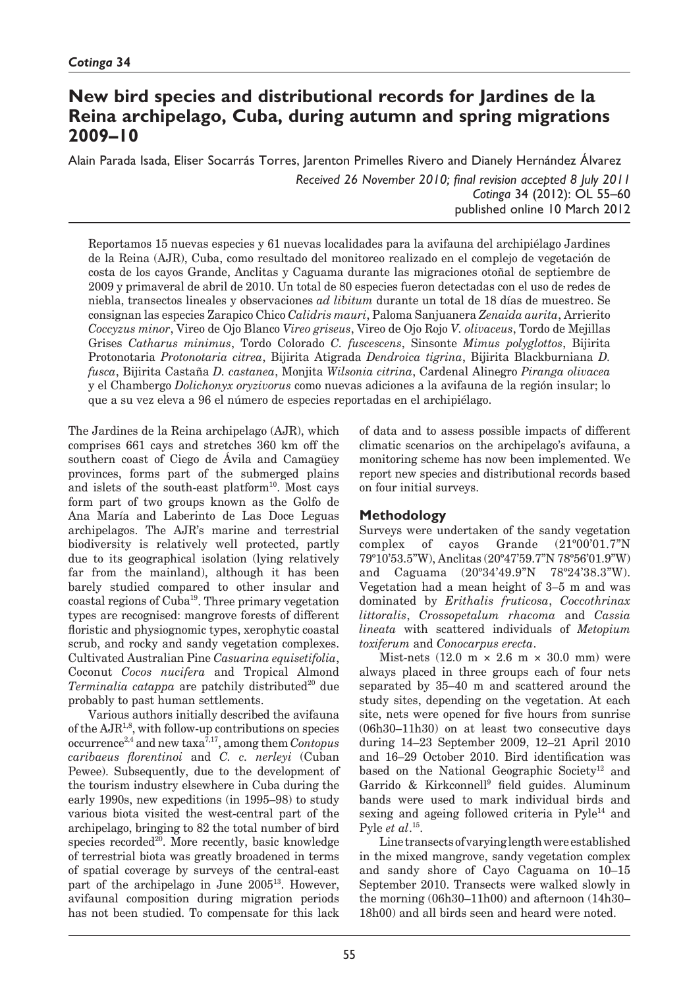# **New bird species and distributional records for Jardines de la Reina archipelago, Cuba, during autumn and spring migrations 2009–10**

Alain Parada Isada, Eliser Socarrás Torres, Jarenton Primelles Rivero and Dianely Hernández Álvarez

*Received 26 November 2010; final revision accepted 8 July 2011 Cotinga* 34 (2012): OL 55–60 published online 10 March 2012

Reportamos 15 nuevas especies y 61 nuevas localidades para la avifauna del archipiélago Jardines de la Reina (AJR), Cuba, como resultado del monitoreo realizado en el complejo de vegetación de costa de los cayos Grande, Anclitas y Caguama durante las migraciones otoñal de septiembre de 2009 y primaveral de abril de 2010. Un total de 80 especies fueron detectadas con el uso de redes de niebla, transectos lineales y observaciones *ad libitum* durante un total de 18 días de muestreo. Se consignan las especies Zarapico Chico *Calidris mauri*, Paloma Sanjuanera *Zenaida aurita*, Arrierito *Coccyzus minor*, Vireo de Ojo Blanco *Vireo griseus*, Vireo de Ojo Rojo *V. olivaceus*, Tordo de Mejillas Grises *Catharus minimus*, Tordo Colorado *C. fuscescens*, Sinsonte *Mimus polyglottos*, Bijirita Protonotaria *Protonotaria citrea*, Bijirita Atigrada *Dendroica tigrina*, Bijirita Blackburniana *D. fusca*, Bijirita Castaña *D. castanea*, Monjita *Wilsonia citrina*, Cardenal Alinegro *Piranga olivacea* y el Chambergo *Dolichonyx oryzivorus* como nuevas adiciones a la avifauna de la región insular; lo que a su vez eleva a 96 el número de especies reportadas en el archipiélago.

The Jardines de la Reina archipelago (AJR), which comprises 661 cays and stretches 360 km off the southern coast of Ciego de Ávila and Camagüey provinces, forms part of the submerged plains and islets of the south-east platform<sup>10</sup>. Most cays form part of two groups known as the Golfo de Ana María and Laberinto de Las Doce Leguas archipelagos. The AJR's marine and terrestrial biodiversity is relatively well protected, partly due to its geographical isolation (lying relatively far from the mainland), although it has been barely studied compared to other insular and coastal regions of Cuba19. Three primary vegetation types are recognised: mangrove forests of different floristic and physiognomic types, xerophytic coastal scrub, and rocky and sandy vegetation complexes. Cultivated Australian Pine *Casuarina equisetifolia*, Coconut *Cocos nucifera* and Tropical Almond *Terminalia catappa* are patchily distributed<sup>20</sup> due probably to past human settlements.

Various authors initially described the avifauna of the  $AJR^{1,8}$ , with follow-up contributions on species occurrence2,4 and new taxa7,17, among them *Contopus caribaeus florentinoi* and *C. c. nerleyi* (Cuban Pewee). Subsequently, due to the development of the tourism industry elsewhere in Cuba during the early 1990s, new expeditions (in 1995–98) to study various biota visited the west-central part of the archipelago, bringing to 82 the total number of bird species  $recorded^{20}$ . More recently, basic knowledge of terrestrial biota was greatly broadened in terms of spatial coverage by surveys of the central-east part of the archipelago in June 2005<sup>13</sup>. However, avifaunal composition during migration periods has not been studied. To compensate for this lack

of data and to assess possible impacts of different climatic scenarios on the archipelago's avifauna, a monitoring scheme has now been implemented. We report new species and distributional records based on four initial surveys.

# **Methodology**

Surveys were undertaken of the sandy vegetation complex of cayos Grande (21º00'01.7"N 79º10'53.5"W), Anclitas (20º47'59.7"N 78º56'01.9"W) and Caguama (20º34'49.9"N 78º24'38.3"W). Vegetation had a mean height of 3–5 m and was dominated by *Erithalis fruticosa*, *Coccothrinax littoralis*, *Crossopetalum rhacoma* and *Cassia lineata* with scattered individuals of *Metopium toxiferum* and *Conocarpus erecta*.

Mist-nets  $(12.0 \text{ m} \times 2.6 \text{ m} \times 30.0 \text{ mm})$  were always placed in three groups each of four nets separated by 35–40 m and scattered around the study sites, depending on the vegetation. At each site, nets were opened for five hours from sunrise (06h30–11h30) on at least two consecutive days during 14–23 September 2009, 12–21 April 2010 and 16–29 October 2010. Bird identification was based on the National Geographic Society<sup>12</sup> and Garrido & Kirkconnell<sup>9</sup> field guides. Aluminum bands were used to mark individual birds and sexing and ageing followed criteria in  $Pyle<sup>14</sup>$  and Pyle *et al*. 15.

Line transects of varying length were established in the mixed mangrove, sandy vegetation complex and sandy shore of Cayo Caguama on 10–15 September 2010. Transects were walked slowly in the morning (06h30–11h00) and afternoon (14h30– 18h00) and all birds seen and heard were noted.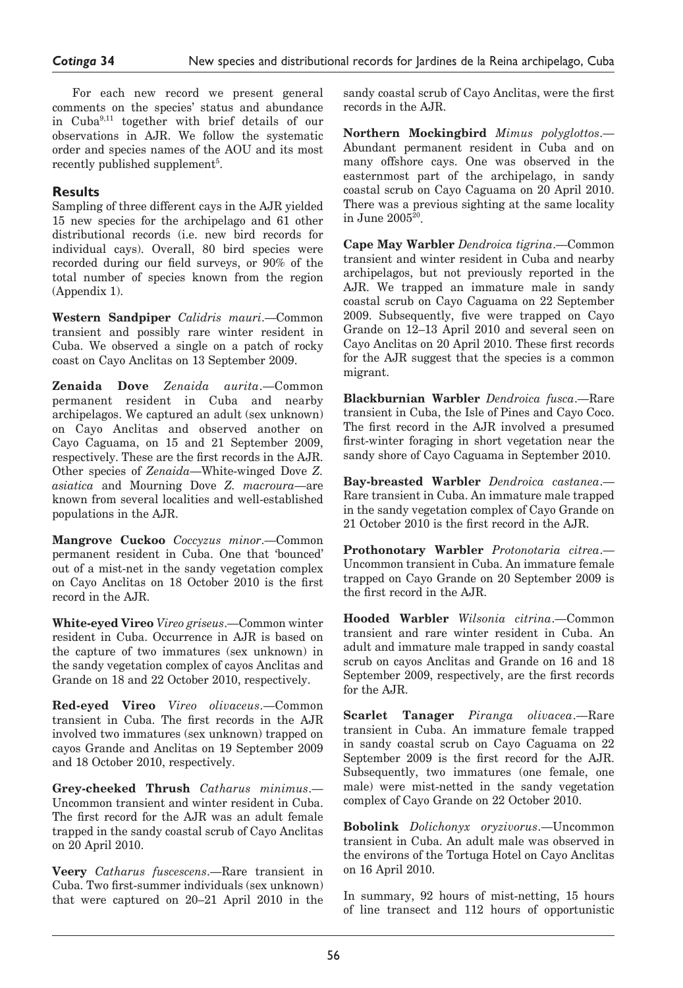For each new record we present general comments on the species' status and abundance in Cuba9,11 together with brief details of our observations in AJR. We follow the systematic order and species names of the AOU and its most recently published supplement<sup>5</sup>.

# **Results**

Sampling of three different cays in the AJR yielded 15 new species for the archipelago and 61 other distributional records (i.e. new bird records for individual cays). Overall, 80 bird species were recorded during our field surveys, or 90% of the total number of species known from the region (Appendix 1).

**Western Sandpiper** *Calidris mauri*.—Common transient and possibly rare winter resident in Cuba. We observed a single on a patch of rocky coast on Cayo Anclitas on 13 September 2009.

**Zenaida Dove** *Zenaida aurita*.—Common permanent resident in Cuba and nearby archipelagos. We captured an adult (sex unknown) on Cayo Anclitas and observed another on Cayo Caguama, on 15 and 21 September 2009, respectively. These are the first records in the AJR. Other species of *Zenaida*—White-winged Dove *Z. asiatica* and Mourning Dove *Z. macroura*—are known from several localities and well-established populations in the AJR.

**Mangrove Cuckoo** *Coccyzus minor*.—Common permanent resident in Cuba. One that 'bounced' out of a mist-net in the sandy vegetation complex on Cayo Anclitas on 18 October 2010 is the first record in the AJR.

**White-eyed Vireo** *Vireo griseus*.—Common winter resident in Cuba. Occurrence in AJR is based on the capture of two immatures (sex unknown) in the sandy vegetation complex of cayos Anclitas and Grande on 18 and 22 October 2010, respectively.

**Red-eyed Vireo** *Vireo olivaceus*.—Common transient in Cuba. The first records in the AJR involved two immatures (sex unknown) trapped on cayos Grande and Anclitas on 19 September 2009 and 18 October 2010, respectively.

**Grey-cheeked Thrush** *Catharus minimus*.— Uncommon transient and winter resident in Cuba. The first record for the AJR was an adult female trapped in the sandy coastal scrub of Cayo Anclitas on 20 April 2010.

**Veery** *Catharus fuscescens*.—Rare transient in Cuba. Two first-summer individuals (sex unknown) that were captured on 20–21 April 2010 in the

sandy coastal scrub of Cayo Anclitas, were the first records in the AJR.

**Northern Mockingbird** *Mimus polyglottos*.— Abundant permanent resident in Cuba and on many offshore cays. One was observed in the easternmost part of the archipelago, in sandy coastal scrub on Cayo Caguama on 20 April 2010. There was a previous sighting at the same locality in June  $2005^{\tilde{2}0}$ .

**Cape May Warbler** *Dendroica tigrina*.—Common transient and winter resident in Cuba and nearby archipelagos, but not previously reported in the AJR. We trapped an immature male in sandy coastal scrub on Cayo Caguama on 22 September 2009. Subsequently, five were trapped on Cayo Grande on 12–13 April 2010 and several seen on Cayo Anclitas on 20 April 2010. These first records for the AJR suggest that the species is a common migrant.

**Blackburnian Warbler** *Dendroica fusca*.—Rare transient in Cuba, the Isle of Pines and Cayo Coco. The first record in the AJR involved a presumed first-winter foraging in short vegetation near the sandy shore of Cayo Caguama in September 2010.

**Bay-breasted Warbler** *Dendroica castanea*.— Rare transient in Cuba. An immature male trapped in the sandy vegetation complex of Cayo Grande on 21 October 2010 is the first record in the AJR.

**Prothonotary Warbler** *Protonotaria citrea*.— Uncommon transient in Cuba. An immature female trapped on Cayo Grande on 20 September 2009 is the first record in the AJR.

**Hooded Warbler** *Wilsonia citrina*.—Common transient and rare winter resident in Cuba. An adult and immature male trapped in sandy coastal scrub on cayos Anclitas and Grande on 16 and 18 September 2009, respectively, are the first records for the AJR.

**Scarlet Tanager** *Piranga olivacea*.—Rare transient in Cuba. An immature female trapped in sandy coastal scrub on Cayo Caguama on 22 September 2009 is the first record for the AJR. Subsequently, two immatures (one female, one male) were mist-netted in the sandy vegetation complex of Cayo Grande on 22 October 2010.

**Bobolink** *Dolichonyx oryzivorus*.—Uncommon transient in Cuba. An adult male was observed in the environs of the Tortuga Hotel on Cayo Anclitas on 16 April 2010.

In summary, 92 hours of mist-netting, 15 hours of line transect and 112 hours of opportunistic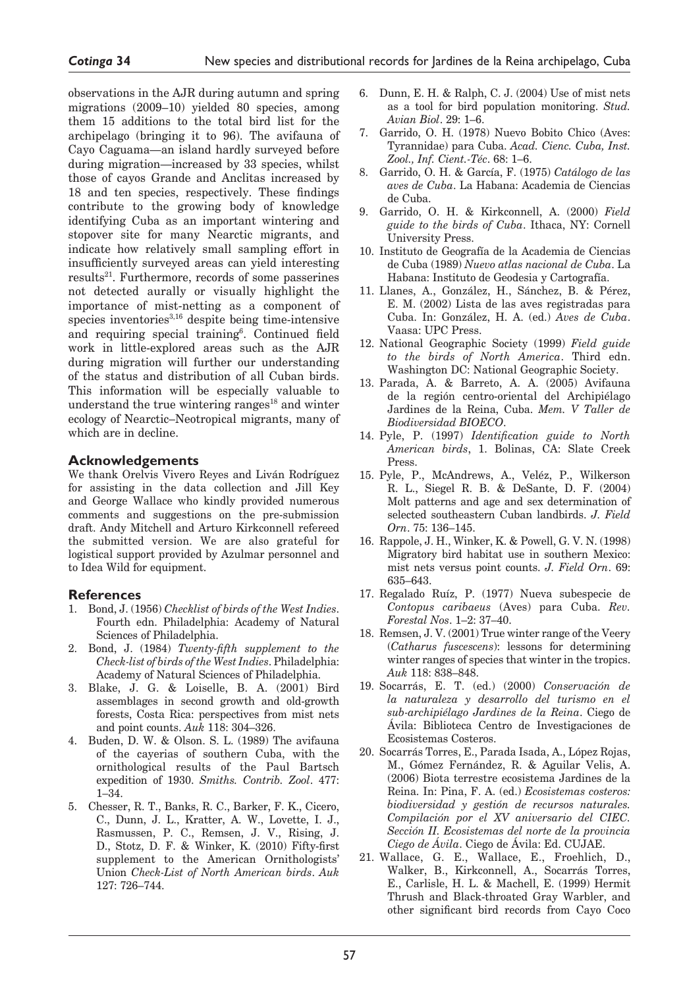observations in the AJR during autumn and spring migrations (2009–10) yielded 80 species, among them 15 additions to the total bird list for the archipelago (bringing it to 96). The avifauna of Cayo Caguama—an island hardly surveyed before during migration—increased by 33 species, whilst those of cayos Grande and Anclitas increased by 18 and ten species, respectively. These findings contribute to the growing body of knowledge identifying Cuba as an important wintering and stopover site for many Nearctic migrants, and indicate how relatively small sampling effort in insufficiently surveyed areas can yield interesting results<sup>21</sup>. Furthermore, records of some passerines not detected aurally or visually highlight the importance of mist-netting as a component of species inventories $3,16$  despite being time-intensive and requiring special training<sup>6</sup>. Continued field work in little-explored areas such as the AJR during migration will further our understanding of the status and distribution of all Cuban birds. This information will be especially valuable to understand the true wintering ranges<sup>18</sup> and winter ecology of Nearctic–Neotropical migrants, many of which are in decline.

## **Acknowledgements**

We thank Orelvis Vivero Reyes and Liván Rodríguez for assisting in the data collection and Jill Key and George Wallace who kindly provided numerous comments and suggestions on the pre-submission draft. Andy Mitchell and Arturo Kirkconnell refereed the submitted version. We are also grateful for logistical support provided by Azulmar personnel and to Idea Wild for equipment.

## **References**

- 1. Bond, J. (1956) *Checklist of birds of the West Indies*. Fourth edn. Philadelphia: Academy of Natural Sciences of Philadelphia.
- 2. Bond, J. (1984) *Twenty-fifth supplement to the Check-list of birds of the West Indies*. Philadelphia: Academy of Natural Sciences of Philadelphia.
- 3. Blake, J. G. & Loiselle, B. A. (2001) Bird assemblages in second growth and old-growth forests, Costa Rica: perspectives from mist nets and point counts. *Auk* 118: 304–326.
- 4. Buden, D. W. & Olson. S. L. (1989) The avifauna of the cayerias of southern Cuba, with the ornithological results of the Paul Bartsch expedition of 1930. *Smiths. Contrib. Zool*. 477: 1–34.
- 5. Chesser, R. T., Banks, R. C., Barker, F. K., Cicero, C., Dunn, J. L., Kratter, A. W., Lovette, I. J., Rasmussen, P. C., Remsen, J. V., Rising, J. D., Stotz, D. F. & Winker, K. (2010) Fifty-first supplement to the American Ornithologists' Union *Check-List of North American birds*. *Auk* 127: 726–744.
- 6. Dunn, E. H. & Ralph, C. J. (2004) Use of mist nets as a tool for bird population monitoring. *Stud. Avian Biol*. 29: 1–6.
- 7. Garrido, O. H. (1978) Nuevo Bobito Chico (Aves: Tyrannidae) para Cuba. *Acad. Cienc. Cuba, Inst. Zool., Inf. Cient.-Téc*. 68: 1–6.
- 8. Garrido, O. H. & García, F. (1975) *Catálogo de las aves de Cuba*. La Habana: Academia de Ciencias de Cuba.
- 9. Garrido, O. H. & Kirkconnell, A. (2000) *Field guide to the birds of Cuba*. Ithaca, NY: Cornell University Press.
- 10. Instituto de Geografía de la Academia de Ciencias de Cuba (1989) *Nuevo atlas nacional de Cuba*. La Habana: Instituto de Geodesia y Cartografía.
- 11. Llanes, A., González, H., Sánchez, B. & Pérez, E. M. (2002) Lista de las aves registradas para Cuba. In: González, H. A. (ed.) *Aves de Cuba*. Vaasa: UPC Press.
- 12. National Geographic Society (1999) *Field guide to the birds of North America*. Third edn. Washington DC: National Geographic Society.
- 13. Parada, A. & Barreto, A. A. (2005) Avifauna de la región centro-oriental del Archipiélago Jardines de la Reina, Cuba. *Mem. V Taller de Biodiversidad BIOECO*.
- 14. Pyle, P. (1997) *Identification guide to North American birds*, 1. Bolinas, CA: Slate Creek Press.
- 15. Pyle, P., McAndrews, A., Veléz, P., Wilkerson R. L., Siegel R. B. & DeSante, D. F. (2004) Molt patterns and age and sex determination of selected southeastern Cuban landbirds. *J. Field Orn*. 75: 136–145.
- 16. Rappole, J. H., Winker, K. & Powell, G. V. N. (1998) Migratory bird habitat use in southern Mexico: mist nets versus point counts. *J. Field Orn*. 69: 635–643.
- 17. Regalado Ruíz, P. (1977) Nueva subespecie de *Contopus caribaeus* (Aves) para Cuba. *Rev. Forestal Nos*. 1–2: 37–40.
- 18. Remsen, J. V. (2001) True winter range of the Veery (*Catharus fuscescens*): lessons for determining winter ranges of species that winter in the tropics. *Auk* 118: 838–848.
- 19. Socarrás, E. T. (ed.) (2000) *Conservación de la naturaleza y desarrollo del turismo en el sub-archipiélago Jardines de la Reina*. Ciego de Ávila: Biblioteca Centro de Investigaciones de Ecosistemas Costeros.
- 20. Socarrás Torres, E., Parada Isada, A., López Rojas, M., Gómez Fernández, R. & Aguilar Velis, A. (2006) Biota terrestre ecosistema Jardines de la Reina. In: Pina, F. A. (ed.) *Ecosistemas costeros: biodiversidad y gestión de recursos naturales. Compilación por el XV aniversario del CIEC. Sección II. Ecosistemas del norte de la provincia Ciego de Ávila*. Ciego de Ávila: Ed. CUJAE.
- 21. Wallace, G. E., Wallace, E., Froehlich, D., Walker, B., Kirkconnell, A., Socarrás Torres, E., Carlisle, H. L. & Machell, E. (1999) Hermit Thrush and Black-throated Gray Warbler, and other significant bird records from Cayo Coco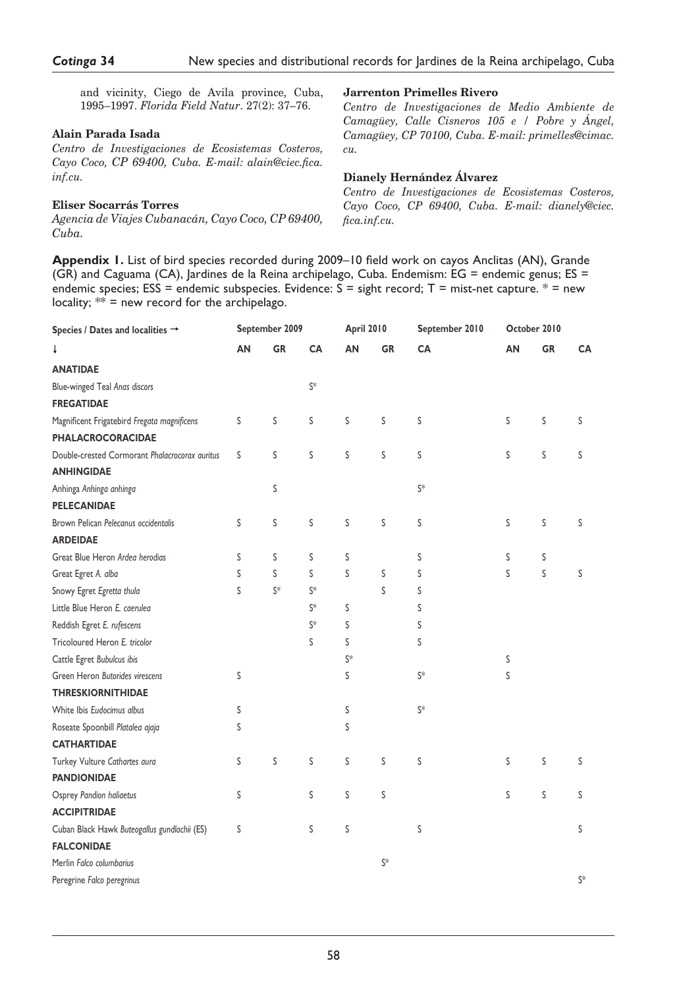and vicinity, Ciego de Avila province, Cuba, 1995–1997. *Florida Field Natur*. 27(2): 37–76.

## **Alain Parada Isada**

*Centro de Investigaciones de Ecosistemas Costeros, Cayo Coco, CP 69400, Cuba. E-mail: alain@ciec.fica. inf.cu.*

## **Eliser Socarrás Torres**

*Agencia de Viajes Cubanacán, Cayo Coco, CP 69400, Cuba.*

#### **Jarrenton Primelles Rivero**

*Centro de Investigaciones de Medio Ambiente de Camagüey, Calle Cisneros 105 e / Pobre y Ángel, Camagüey, CP 70100, Cuba. E-mail: primelles@cimac. cu.*

## **Dianely Hernández Álvarez**

*Centro de Investigaciones de Ecosistemas Costeros, Cayo Coco, CP 69400, Cuba. E-mail: dianely@ciec. fica.inf.cu.*

**Appendix 1.** List of bird species recorded during 2009–10 field work on cayos Anclitas (AN), Grande (GR) and Caguama (CA), Jardines de la Reina archipelago, Cuba. Endemism: EG = endemic genus; ES = endemic species; ESS = endemic subspecies. Evidence:  $\overline{S}$  = sight record; T = mist-net capture. \* = new locality;  $**$  = new record for the archipelago.

| Species / Dates and localities $\rightarrow$                            | September 2009 |           |                | <b>April 2010</b> |           | September 2010 | October 2010 |           |       |
|-------------------------------------------------------------------------|----------------|-----------|----------------|-------------------|-----------|----------------|--------------|-----------|-------|
| t                                                                       | AN             | <b>GR</b> | <b>CA</b>      | AN                | <b>GR</b> | <b>CA</b>      | AΝ           | <b>GR</b> | СA    |
| <b>ANATIDAE</b>                                                         |                |           |                |                   |           |                |              |           |       |
| Blue-winged Teal Anas discors                                           |                |           | $S^*$          |                   |           |                |              |           |       |
| <b>FREGATIDAE</b>                                                       |                |           |                |                   |           |                |              |           |       |
| Magnificent Frigatebird Fregata magnificens<br><b>PHALACROCORACIDAE</b> | S              | S         | S              | S                 | S         | S              | S            | S         | S     |
| Double-crested Cormorant Phalacrocorax auritus                          | S              | S         | S              | S                 | S         | S              | S            | S         | S     |
| <b>ANHINGIDAE</b>                                                       |                |           |                |                   |           |                |              |           |       |
| Anhinga Anhinga anhinga                                                 |                | S         |                |                   |           | $S^*$          |              |           |       |
| PELECANIDAE                                                             |                |           |                |                   |           |                |              |           |       |
| Brown Pelican Pelecanus occidentalis                                    | S              | S         | S              | S                 | S         | S              | S            | S         | S     |
| <b>ARDEIDAE</b>                                                         |                |           |                |                   |           |                |              |           |       |
| Great Blue Heron Ardea herodias                                         | S              | S         | S              | S                 |           | S              | S            | S         |       |
| Great Egret A. alba                                                     | S              | S         | S              | S                 | ς         | S              | S            | S         | S     |
| Snowy Egret Egretta thula                                               | S              | S*        | $\mathsf{S}^*$ |                   | S         | S              |              |           |       |
| Little Blue Heron E. caerulea                                           |                |           | $S^*$          | S                 |           | S              |              |           |       |
| Reddish Egret E. rufescens                                              |                |           | $S^*$          | S                 |           | S              |              |           |       |
| Tricoloured Heron E. tricolor                                           |                |           | S              | S                 |           | S              |              |           |       |
| Cattle Egret Bubulcus ibis                                              |                |           |                | $\mathsf{S}^*$    |           |                | S            |           |       |
| Green Heron Butorides virescens                                         | S              |           |                | S                 |           | $S^*$          | S            |           |       |
| <b>THRESKIORNITHIDAE</b>                                                |                |           |                |                   |           |                |              |           |       |
| White Ibis Eudocimus albus                                              | S              |           |                | S                 |           | $S^*$          |              |           |       |
| Roseate Spoonbill Platalea ajaja                                        | S              |           |                | S                 |           |                |              |           |       |
| <b>CATHARTIDAE</b>                                                      |                |           |                |                   |           |                |              |           |       |
| Turkey Vulture Cathartes aura                                           | S              | S         | S              | S                 | S         | S              | S            | S         | S     |
| <b>PANDIONIDAE</b>                                                      |                |           |                |                   |           |                |              |           |       |
| Osprey Pandion haliaetus                                                | S              |           | S              | S                 | ς         |                | S            | S         | S     |
| <b>ACCIPITRIDAE</b>                                                     |                |           |                |                   |           |                |              |           |       |
| Cuban Black Hawk Buteogallus gundlachii (ES)                            | S              |           | S              | S                 |           | ς              |              |           | S     |
| <b>FALCONIDAE</b>                                                       |                |           |                |                   |           |                |              |           |       |
| Merlin Falco columbarius                                                |                |           |                |                   | S*        |                |              |           |       |
| Peregrine Falco peregrinus                                              |                |           |                |                   |           |                |              |           | $S^*$ |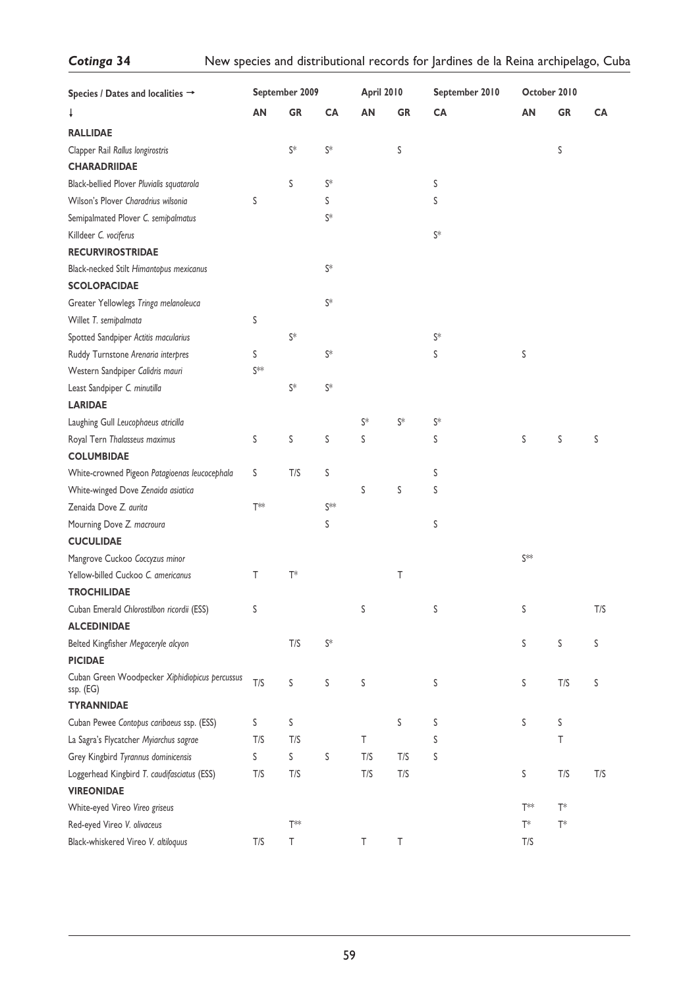| Species / Dates and localities $\rightarrow$                | September 2009        |                | <b>April 2010</b> |                | September 2010 | October 2010   |                   |           |     |
|-------------------------------------------------------------|-----------------------|----------------|-------------------|----------------|----------------|----------------|-------------------|-----------|-----|
| Ť                                                           | AN                    | GR             | CA                | AN             | <b>GR</b>      | CA             | AN                | <b>GR</b> | CA  |
| <b>RALLIDAE</b>                                             |                       |                |                   |                |                |                |                   |           |     |
| Clapper Rail Rallus longirostris                            |                       | S*             | $S^*$             |                | S              |                |                   | S         |     |
| <b>CHARADRIIDAE</b>                                         |                       |                |                   |                |                |                |                   |           |     |
| Black-bellied Plover Pluvialis squatarola                   |                       | S              | $S^*$             |                |                | S              |                   |           |     |
| Wilson's Plover Charadrius wilsonia                         | S                     |                | S                 |                |                | S              |                   |           |     |
| Semipalmated Plover C. semipalmatus                         |                       |                | S*                |                |                |                |                   |           |     |
| Killdeer C. vociferus                                       |                       |                |                   |                |                | $\mathsf{S}^*$ |                   |           |     |
| <b>RECURVIROSTRIDAE</b>                                     |                       |                |                   |                |                |                |                   |           |     |
| Black-necked Stilt Himantopus mexicanus                     |                       |                | $S^*$             |                |                |                |                   |           |     |
| <b>SCOLOPACIDAE</b>                                         |                       |                |                   |                |                |                |                   |           |     |
| Greater Yellowlegs Tringa melanoleuca                       |                       |                | S*                |                |                |                |                   |           |     |
| Willet T. semipalmata                                       | S                     |                |                   |                |                |                |                   |           |     |
| Spotted Sandpiper Actitis macularius                        |                       | $\mathsf{S}^*$ |                   |                |                | $S^*$          |                   |           |     |
| Ruddy Turnstone Arenaria interpres                          | S                     |                | $S^*$             |                |                | S              | S                 |           |     |
| Western Sandpiper Calidris mauri                            | $S^{\ast \circ \ast}$ |                |                   |                |                |                |                   |           |     |
| Least Sandpiper C. minutilla                                |                       | $\mathsf{S}^*$ | $S^*$             |                |                |                |                   |           |     |
| <b>LARIDAE</b>                                              |                       |                |                   |                |                |                |                   |           |     |
| Laughing Gull Leucophaeus atricilla                         |                       |                |                   | $\mathsf{S}^*$ | $\mathsf{S}^*$ | $\mathsf{S}^*$ |                   |           |     |
| Royal Tern Thalasseus maximus                               | S                     | S              | S                 | S              |                | S              | S                 | S         | S   |
| <b>COLUMBIDAE</b>                                           |                       |                |                   |                |                |                |                   |           |     |
| White-crowned Pigeon Patagioenas leucocephala               | S                     | T/S            | S                 |                |                | S              |                   |           |     |
| White-winged Dove Zenaida asiatica                          |                       |                |                   | S              | S              | S              |                   |           |     |
| Zenaida Dove Z. aurita                                      | $T^*$                 |                | S**               |                |                |                |                   |           |     |
| Mourning Dove Z. macroura                                   |                       |                | S                 |                |                | S              |                   |           |     |
| <b>CUCULIDAE</b>                                            |                       |                |                   |                |                |                |                   |           |     |
| Mangrove Cuckoo Coccyzus minor                              |                       |                |                   |                |                |                | $S^{\text{left}}$ |           |     |
| Yellow-billed Cuckoo C. americanus                          | Т                     | $T^*$          |                   |                | Τ              |                |                   |           |     |
| <b>TROCHILIDAE</b>                                          |                       |                |                   |                |                |                |                   |           |     |
| Cuban Emerald Chlorostilbon ricordii (ESS)                  | S                     |                |                   | S              |                | S              | S                 |           | T/S |
| <b>ALCEDINIDAE</b>                                          |                       |                |                   |                |                |                |                   |           |     |
| Belted Kingfisher Megaceryle alcyon                         |                       | T/S            | S*                |                |                |                | S                 | S         | S   |
| <b>PICIDAE</b>                                              |                       |                |                   |                |                |                |                   |           |     |
| Cuban Green Woodpecker Xiphidiopicus percussus<br>ssp. (EG) | T/S                   | S              | S                 | S              |                | S              | S                 | T/S       | S   |
| <b>TYRANNIDAE</b>                                           |                       |                |                   |                |                |                |                   |           |     |
| Cuban Pewee Contopus caribaeus ssp. (ESS)                   | S                     | S              |                   |                | S              | S              | S                 | S         |     |
| La Sagra's Flycatcher Myiarchus sagrae                      | T/S                   | T/S            |                   | Τ              |                | S              |                   | Τ         |     |
| Grey Kingbird Tyrannus dominicensis                         | S                     | $\sf S$        | S                 | T/S            | T/S            | S              |                   |           |     |
| Loggerhead Kingbird T. caudifasciatus (ESS)                 | T/S                   | T/S            |                   | T/S            | T/S            |                | S                 | T/S       | T/S |
| <b>VIREONIDAE</b>                                           |                       |                |                   |                |                |                |                   |           |     |
| White-eyed Vireo Vireo griseus                              |                       |                |                   |                |                |                | $T^{**}$          | $T^*$     |     |
| Red-eyed Vireo V. olivaceus                                 |                       | $T^*$          |                   |                |                |                | $T^*$             | $T^*$     |     |
| Black-whiskered Vireo V. altiloquus                         | T/S                   | Τ              |                   | Τ              | Τ              |                | T/S               |           |     |